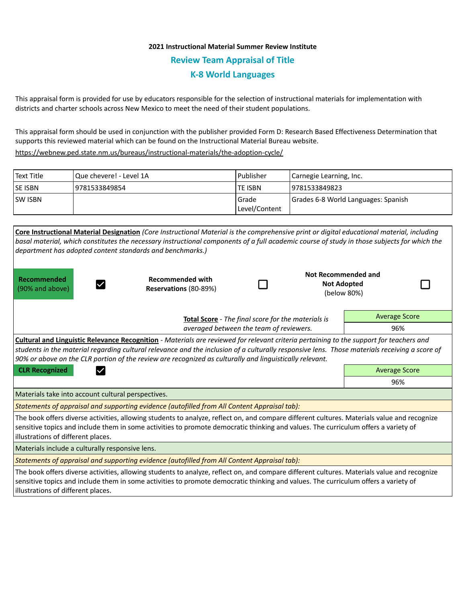## **2021 Instructional Material Summer Review Institute Review Team Appraisal of Title K-8 World Languages**

This appraisal form is provided for use by educators responsible for the selection of instructional materials for implementation with districts and charter schools across New Mexico to meet the need of their student populations.

This appraisal form should be used in conjunction with the publisher provided Form D: Research Based Effectiveness Determination that supports this reviewed material which can be found on the Instructional Material Bureau website.

<https://webnew.ped.state.nm.us/bureaus/instructional-materials/the-adoption-cycle/>

| l Text Title | Que chevere! - Level 1A | Publisher                | Carnegie Learning, Inc.             |
|--------------|-------------------------|--------------------------|-------------------------------------|
| lse isbn     | 9781533849854           | <b>TE ISBN</b>           | 19781533849823                      |
| lsw isbn     |                         | l Grade<br>Level/Content | Grades 6-8 World Languages: Spanish |

| Core Instructional Material Designation (Core Instructional Material is the comprehensive print or digital educational material, including<br>basal material, which constitutes the necessary instructional components of a full academic course of study in those subjects for which the<br>department has adopted content standards and benchmarks.)                                                     |                                                  |  |  |                                                                 |  |  |  |  |  |
|------------------------------------------------------------------------------------------------------------------------------------------------------------------------------------------------------------------------------------------------------------------------------------------------------------------------------------------------------------------------------------------------------------|--------------------------------------------------|--|--|-----------------------------------------------------------------|--|--|--|--|--|
| Recommended<br>(90% and above)                                                                                                                                                                                                                                                                                                                                                                             | <b>Recommended with</b><br>Reservations (80-89%) |  |  | <b>Not Recommended and</b><br><b>Not Adopted</b><br>(below 80%) |  |  |  |  |  |
|                                                                                                                                                                                                                                                                                                                                                                                                            | <b>Average Score</b>                             |  |  |                                                                 |  |  |  |  |  |
|                                                                                                                                                                                                                                                                                                                                                                                                            | 96%                                              |  |  |                                                                 |  |  |  |  |  |
| <b>Cultural and Linguistic Relevance Recognition</b> - Materials are reviewed for relevant criteria pertaining to the support for teachers and<br>students in the material regarding cultural relevance and the inclusion of a culturally responsive lens. Those materials receiving a score of<br>90% or above on the CLR portion of the review are recognized as culturally and linguistically relevant. |                                                  |  |  |                                                                 |  |  |  |  |  |
| <b>CLR Recognized</b>                                                                                                                                                                                                                                                                                                                                                                                      | <b>Average Score</b>                             |  |  |                                                                 |  |  |  |  |  |
|                                                                                                                                                                                                                                                                                                                                                                                                            |                                                  |  |  | 96%                                                             |  |  |  |  |  |
| Materials take into account cultural perspectives.                                                                                                                                                                                                                                                                                                                                                         |                                                  |  |  |                                                                 |  |  |  |  |  |
| Statements of appraisal and supporting evidence (autofilled from All Content Appraisal tab):                                                                                                                                                                                                                                                                                                               |                                                  |  |  |                                                                 |  |  |  |  |  |
| The book offers diverse activities, allowing students to analyze, reflect on, and compare different cultures. Materials value and recognize<br>sensitive topics and include them in some activities to promote democratic thinking and values. The curriculum offers a variety of<br>illustrations of different places.                                                                                    |                                                  |  |  |                                                                 |  |  |  |  |  |
| Materials include a culturally responsive lens.                                                                                                                                                                                                                                                                                                                                                            |                                                  |  |  |                                                                 |  |  |  |  |  |
| Statements of appraisal and supporting evidence (autofilled from All Content Appraisal tab):                                                                                                                                                                                                                                                                                                               |                                                  |  |  |                                                                 |  |  |  |  |  |
| The book offers diverse activities, allowing students to analyze, reflect on, and compare different cultures. Materials value and recognize<br>sensitive topics and include them in some activities to promote democratic thinking and values. The curriculum offers a variety of<br>illustrations of different places.                                                                                    |                                                  |  |  |                                                                 |  |  |  |  |  |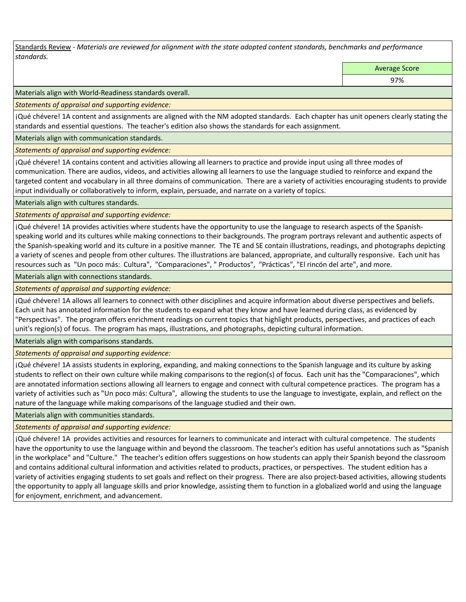Standards Review *- Materials are reviewed for alignment with the state adopted content standards, benchmarks and performance standards.*

Average Score

97%

Materials align with World-Readiness standards overall.

*Statements of appraisal and supporting evidence:* 

¡Qué chévere! 1A content and assignments are aligned with the NM adopted standards. Each chapter has unit openers clearly stating the standards and essential questions. The teacher's edition also shows the standards for each assignment.

Materials align with communication standards.

*Statements of appraisal and supporting evidence:* 

¡Qué chévere! 1A contains content and activities allowing all learners to practice and provide input using all three modes of communication. There are audios, videos, and activities allowing all learners to use the language studied to reinforce and expand the targeted content and vocabulary in all three domains of communication. There are a variety of activities encouraging students to provide input individually or collaboratively to inform, explain, persuade, and narrate on a variety of topics.

Materials align with cultures standards.

*Statements of appraisal and supporting evidence:* 

¡Qué chévere! 1A provides activities where students have the opportunity to use the language to research aspects of the Spanishspeaking world and its cultures while making connections to their backgrounds. The program portrays relevant and authentic aspects of the Spanish-speaking world and its culture in a positive manner. The TE and SE contain illustrations, readings, and photographs depicting a variety of scenes and people from other cultures. The illustrations are balanced, appropriate, and culturally responsive. Each unit has resources such as "Un poco más: Cultura", "Comparaciones", " Productos", "Prácticas", "El rincón del arte", and more.

Materials align with connections standards.

*Statements of appraisal and supporting evidence:* 

¡Qué chévere! 1A allows all learners to connect with other disciplines and acquire information about diverse perspectives and beliefs. Each unit has annotated information for the students to expand what they know and have learned during class, as evidenced by "Perspectivas". The program offers enrichment readings on current topics that highlight products, perspectives, and practices of each unit's region(s) of focus. The program has maps, illustrations, and photographs, depicting cultural information.

Materials align with comparisons standards.

*Statements of appraisal and supporting evidence:* 

¡Qué chévere! 1A assists students in exploring, expanding, and making connections to the Spanish language and its culture by asking students to reflect on their own culture while making comparisons to the region(s) of focus. Each unit has the "Comparaciones", which are annotated information sections allowing all learners to engage and connect with cultural competence practices. The program has a variety of activities such as "Un poco más: Cultura", allowing the students to use the language to investigate, explain, and reflect on the nature of the language while making comparisons of the language studied and their own.

Materials align with communities standards.

*Statements of appraisal and supporting evidence:* 

¡Qué chévere! 1A provides activities and resources for learners to communicate and interact with cultural competence. The students have the opportunity to use the language within and beyond the classroom. The teacher's edition has useful annotations such as "Spanish in the workplace" and "Culture." The teacher's edition offers suggestions on how students can apply their Spanish beyond the classroom and contains additional cultural information and activities related to products, practices, or perspectives. The student edition has a variety of activities engaging students to set goals and reflect on their progress. There are also project-based activities, allowing students the opportunity to apply all language skills and prior knowledge, assisting them to function in a globalized world and using the language for enjoyment, enrichment, and advancement.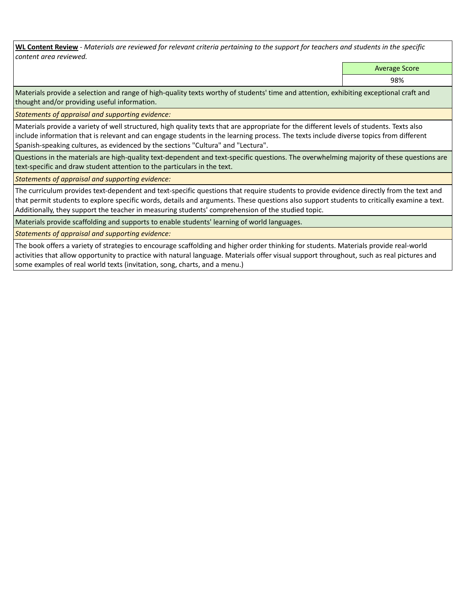**WL Content Review** *- Materials are reviewed for relevant criteria pertaining to the support for teachers and students in the specific content area reviewed.*

Average Score

98%

Materials provide a selection and range of high-quality texts worthy of students' time and attention, exhibiting exceptional craft and thought and/or providing useful information.

*Statements of appraisal and supporting evidence:* 

Materials provide a variety of well structured, high quality texts that are appropriate for the different levels of students. Texts also include information that is relevant and can engage students in the learning process. The texts include diverse topics from different Spanish-speaking cultures, as evidenced by the sections "Cultura" and "Lectura".

Questions in the materials are high-quality text-dependent and text-specific questions. The overwhelming majority of these questions are text-specific and draw student attention to the particulars in the text.

*Statements of appraisal and supporting evidence:* 

The curriculum provides text-dependent and text-specific questions that require students to provide evidence directly from the text and that permit students to explore specific words, details and arguments. These questions also support students to critically examine a text. Additionally, they support the teacher in measuring students' comprehension of the studied topic.

Materials provide scaffolding and supports to enable students' learning of world languages.

*Statements of appraisal and supporting evidence:* 

The book offers a variety of strategies to encourage scaffolding and higher order thinking for students. Materials provide real-world activities that allow opportunity to practice with natural language. Materials offer visual support throughout, such as real pictures and some examples of real world texts (invitation, song, charts, and a menu.)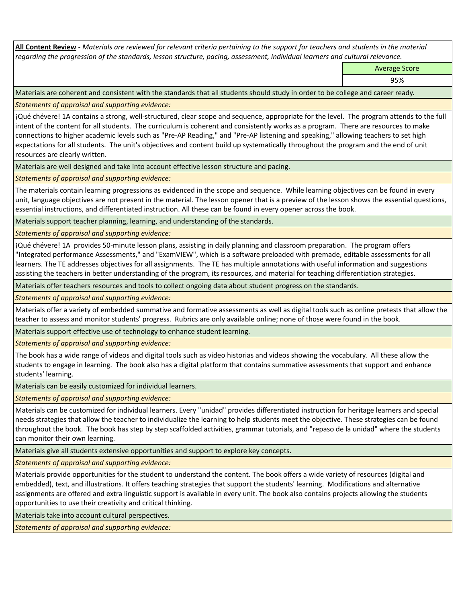**All Content Review** *- Materials are reviewed for relevant criteria pertaining to the support for teachers and students in the material regarding the progression of the standards, lesson structure, pacing, assessment, individual learners and cultural relevance.*

Average Score

95%

Materials are coherent and consistent with the standards that all students should study in order to be college and career ready.

*Statements of appraisal and supporting evidence:*

¡Qué chévere! 1A contains a strong, well-structured, clear scope and sequence, appropriate for the level. The program attends to the full intent of the content for all students. The curriculum is coherent and consistently works as a program. There are resources to make connections to higher academic levels such as "Pre-AP Reading," and "Pre-AP listening and speaking," allowing teachers to set high expectations for all students. The unit's objectives and content build up systematically throughout the program and the end of unit resources are clearly written.

Materials are well designed and take into account effective lesson structure and pacing.

*Statements of appraisal and supporting evidence:*

The materials contain learning progressions as evidenced in the scope and sequence. While learning objectives can be found in every unit, language objectives are not present in the material. The lesson opener that is a preview of the lesson shows the essential questions, essential instructions, and differentiated instruction. All these can be found in every opener across the book.

Materials support teacher planning, learning, and understanding of the standards.

*Statements of appraisal and supporting evidence:*

¡Qué chévere! 1A provides 50-minute lesson plans, assisting in daily planning and classroom preparation. The program offers "Integrated performance Assessments," and "ExamVIEW", which is a software preloaded with premade, editable assessments for all learners. The TE addresses objectives for all assignments. The TE has multiple annotations with useful information and suggestions assisting the teachers in better understanding of the program, its resources, and material for teaching differentiation strategies.

Materials offer teachers resources and tools to collect ongoing data about student progress on the standards.

*Statements of appraisal and supporting evidence:*

Materials offer a variety of embedded summative and formative assessments as well as digital tools such as online pretests that allow the teacher to assess and monitor students' progress. Rubrics are only available online; none of those were found in the book.

Materials support effective use of technology to enhance student learning.

*Statements of appraisal and supporting evidence:*

The book has a wide range of videos and digital tools such as video historias and videos showing the vocabulary. All these allow the students to engage in learning. The book also has a digital platform that contains summative assessments that support and enhance students' learning.

Materials can be easily customized for individual learners.

*Statements of appraisal and supporting evidence:* 

Materials can be customized for individual learners. Every "unidad" provides differentiated instruction for heritage learners and special needs strategies that allow the teacher to individualize the learning to help students meet the objective. These strategies can be found throughout the book. The book has step by step scaffolded activities, grammar tutorials, and "repaso de la unidad" where the students can monitor their own learning.

Materials give all students extensive opportunities and support to explore key concepts.

*Statements of appraisal and supporting evidence:*

Materials provide opportunities for the student to understand the content. The book offers a wide variety of resources (digital and embedded), text, and illustrations. It offers teaching strategies that support the students' learning. Modifications and alternative assignments are offered and extra linguistic support is available in every unit. The book also contains projects allowing the students opportunities to use their creativity and critical thinking.

Materials take into account cultural perspectives.

*Statements of appraisal and supporting evidence:*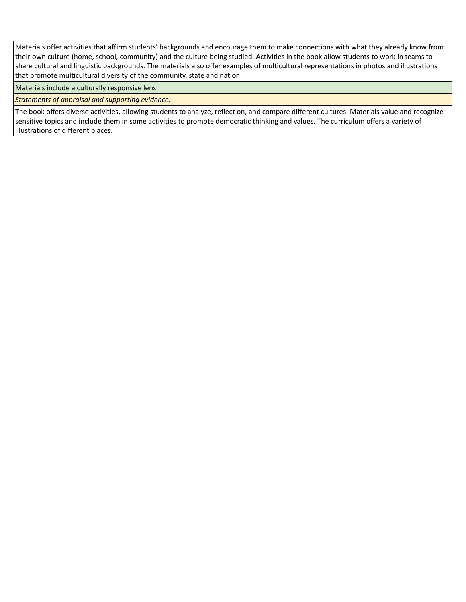Materials offer activities that affirm students' backgrounds and encourage them to make connections with what they already know from their own culture (home, school, community) and the culture being studied. Activities in the book allow students to work in teams to share cultural and linguistic backgrounds. The materials also offer examples of multicultural representations in photos and illustrations that promote multicultural diversity of the community, state and nation.

Materials include a culturally responsive lens.

*Statements of appraisal and supporting evidence:*

The book offers diverse activities, allowing students to analyze, reflect on, and compare different cultures. Materials value and recognize sensitive topics and include them in some activities to promote democratic thinking and values. The curriculum offers a variety of illustrations of different places.